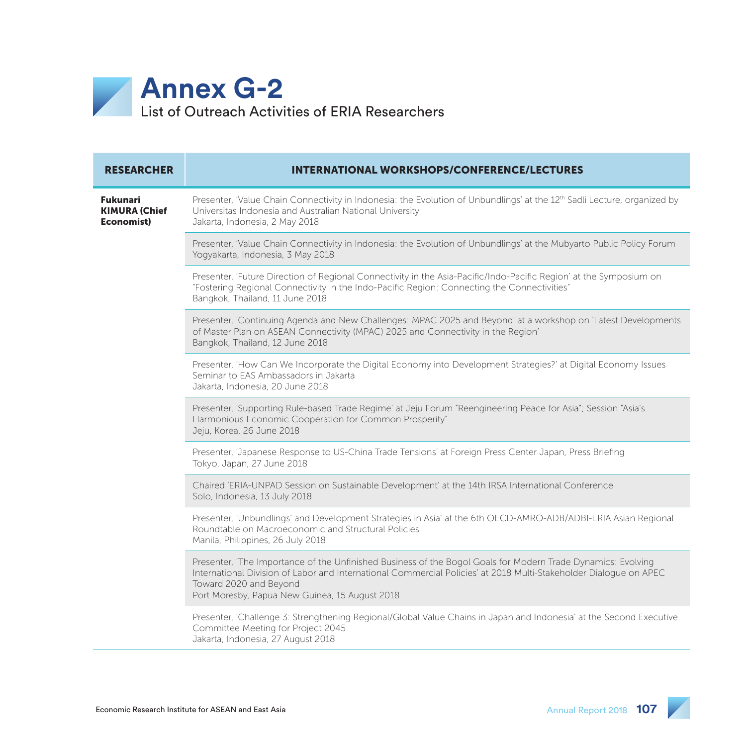

| <b>RESEARCHER</b>                              | <b>INTERNATIONAL WORKSHOPS/CONFERENCE/LECTURES</b>                                                                                                                                                                                                                                                            |
|------------------------------------------------|---------------------------------------------------------------------------------------------------------------------------------------------------------------------------------------------------------------------------------------------------------------------------------------------------------------|
| Fukunari<br><b>KIMURA (Chief</b><br>Economist) | Presenter, 'Value Chain Connectivity in Indonesia: the Evolution of Unbundlings' at the 12th Sadli Lecture, organized by<br>Universitas Indonesia and Australian National University<br>Jakarta, Indonesia, 2 May 2018                                                                                        |
|                                                | Presenter, 'Value Chain Connectivity in Indonesia: the Evolution of Unbundlings' at the Mubyarto Public Policy Forum<br>Yogyakarta, Indonesia, 3 May 2018                                                                                                                                                     |
|                                                | Presenter, 'Future Direction of Regional Connectivity in the Asia-Pacific/Indo-Pacific Region' at the Symposium on<br>"Fostering Regional Connectivity in the Indo-Pacific Region: Connecting the Connectivities"<br>Bangkok, Thailand, 11 June 2018                                                          |
|                                                | Presenter, 'Continuing Agenda and New Challenges: MPAC 2025 and Beyond' at a workshop on 'Latest Developments<br>of Master Plan on ASEAN Connectivity (MPAC) 2025 and Connectivity in the Region'<br>Bangkok, Thailand, 12 June 2018                                                                          |
|                                                | Presenter, 'How Can We Incorporate the Digital Economy into Development Strategies?' at Digital Economy Issues<br>Seminar to EAS Ambassadors in Jakarta<br>Jakarta, Indonesia, 20 June 2018                                                                                                                   |
|                                                | Presenter, 'Supporting Rule-based Trade Regime' at Jeju Forum "Reengineering Peace for Asia"; Session "Asia's<br>Harmonious Economic Cooperation for Common Prosperity"<br>Jeju, Korea, 26 June 2018                                                                                                          |
|                                                | Presenter, 'Japanese Response to US-China Trade Tensions' at Foreign Press Center Japan, Press Briefing<br>Tokyo, Japan, 27 June 2018                                                                                                                                                                         |
|                                                | Chaired 'ERIA-UNPAD Session on Sustainable Development' at the 14th IRSA International Conference<br>Solo, Indonesia, 13 July 2018                                                                                                                                                                            |
|                                                | Presenter, 'Unbundlings' and Development Strategies in Asia' at the 6th OECD-AMRO-ADB/ADBI-ERIA Asian Regional<br>Roundtable on Macroeconomic and Structural Policies<br>Manila, Philippines, 26 July 2018                                                                                                    |
|                                                | Presenter, 'The Importance of the Unfinished Business of the Bogol Goals for Modern Trade Dynamics: Evolving<br>International Division of Labor and International Commercial Policies' at 2018 Multi-Stakeholder Dialoque on APEC<br>Toward 2020 and Beyond<br>Port Moresby, Papua New Guinea, 15 August 2018 |
|                                                | Presenter, 'Challenge 3: Strengthening Regional/Global Value Chains in Japan and Indonesia' at the Second Executive<br>Committee Meeting for Project 2045<br>Jakarta, Indonesia, 27 August 2018                                                                                                               |

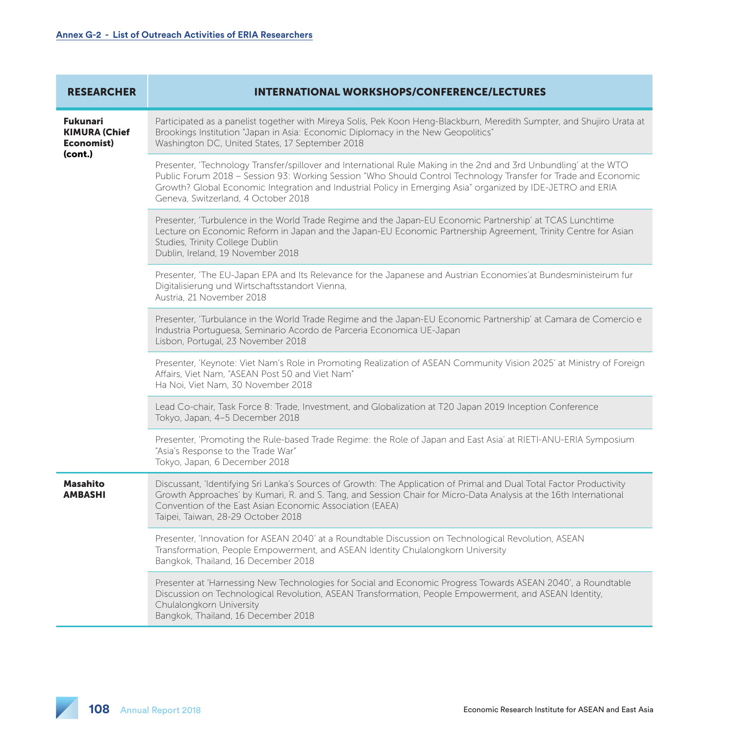| <b>RESEARCHER</b>                                                | <b>INTERNATIONAL WORKSHOPS/CONFERENCE/LECTURES</b>                                                                                                                                                                                                                                                                                                                                        |
|------------------------------------------------------------------|-------------------------------------------------------------------------------------------------------------------------------------------------------------------------------------------------------------------------------------------------------------------------------------------------------------------------------------------------------------------------------------------|
| <b>Fukunari</b><br><b>KIMURA (Chief</b><br>Economist)<br>(cont.) | Participated as a panelist together with Mireya Solis, Pek Koon Heng-Blackburn, Meredith Sumpter, and Shujiro Urata at<br>Brookings Institution "Japan in Asia: Economic Diplomacy in the New Geopolitics"<br>Washington DC, United States, 17 September 2018                                                                                                                             |
|                                                                  | Presenter, 'Technology Transfer/spillover and International Rule Making in the 2nd and 3rd Unbundling' at the WTO<br>Public Forum 2018 - Session 93: Working Session "Who Should Control Technology Transfer for Trade and Economic<br>Growth? Global Economic Integration and Industrial Policy in Emerging Asia" organized by IDE-JETRO and ERIA<br>Geneva, Switzerland, 4 October 2018 |
|                                                                  | Presenter, 'Turbulence in the World Trade Regime and the Japan-EU Economic Partnership' at TCAS Lunchtime<br>Lecture on Economic Reform in Japan and the Japan-EU Economic Partnership Agreement, Trinity Centre for Asian<br>Studies, Trinity College Dublin<br>Dublin, Ireland, 19 November 2018                                                                                        |
|                                                                  | Presenter, 'The EU-Japan EPA and Its Relevance for the Japanese and Austrian Economies'at Bundesministeirum fur<br>Digitalisierung und Wirtschaftsstandort Vienna,<br>Austria, 21 November 2018                                                                                                                                                                                           |
|                                                                  | Presenter, 'Turbulance in the World Trade Regime and the Japan-EU Economic Partnership' at Camara de Comercio e<br>Industria Portuguesa, Seminario Acordo de Parceria Economica UE-Japan<br>Lisbon, Portugal, 23 November 2018                                                                                                                                                            |
|                                                                  | Presenter, 'Keynote: Viet Nam's Role in Promoting Realization of ASEAN Community Vision 2025' at Ministry of Foreign<br>Affairs, Viet Nam, "ASEAN Post 50 and Viet Nam"<br>Ha Noi, Viet Nam, 30 November 2018                                                                                                                                                                             |
|                                                                  | Lead Co-chair, Task Force 8: Trade, Investment, and Globalization at T20 Japan 2019 Inception Conference<br>Tokyo, Japan, 4-5 December 2018                                                                                                                                                                                                                                               |
|                                                                  | Presenter, 'Promoting the Rule-based Trade Regime: the Role of Japan and East Asia' at RIETI-ANU-ERIA Symposium<br>"Asia's Response to the Trade War"<br>Tokyo, Japan, 6 December 2018                                                                                                                                                                                                    |
| <b>Masahito</b><br><b>AMBASHI</b>                                | Discussant, 'Identifying Sri Lanka's Sources of Growth: The Application of Primal and Dual Total Factor Productivity<br>Growth Approaches' by Kumari, R. and S. Tang, and Session Chair for Micro-Data Analysis at the 16th International<br>Convention of the East Asian Economic Association (EAEA)<br>Taipei, Taiwan, 28-29 October 2018                                               |
|                                                                  | Presenter, 'Innovation for ASEAN 2040' at a Roundtable Discussion on Technological Revolution, ASEAN<br>Transformation, People Empowerment, and ASEAN Identity Chulalongkorn University<br>Bangkok, Thailand, 16 December 2018                                                                                                                                                            |
|                                                                  | Presenter at 'Harnessing New Technologies for Social and Economic Progress Towards ASEAN 2040', a Roundtable<br>Discussion on Technological Revolution, ASEAN Transformation, People Empowerment, and ASEAN Identity,<br>Chulalongkorn University<br>Bangkok, Thailand, 16 December 2018                                                                                                  |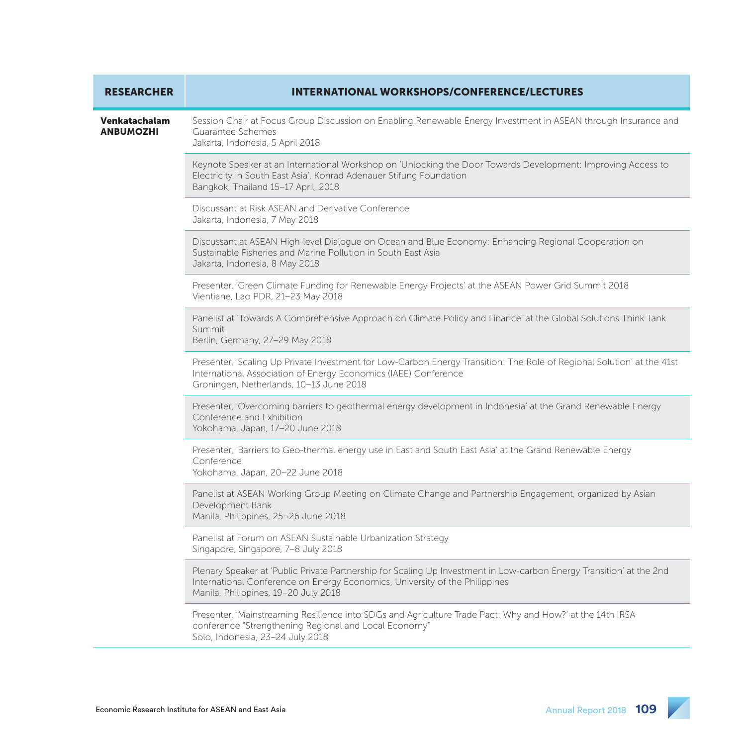| <b>RESEARCHER</b>                 | <b>INTERNATIONAL WORKSHOPS/CONFERENCE/LECTURES</b>                                                                                                                                                                                          |
|-----------------------------------|---------------------------------------------------------------------------------------------------------------------------------------------------------------------------------------------------------------------------------------------|
| Venkatachalam<br><b>ANBUMOZHI</b> | Session Chair at Focus Group Discussion on Enabling Renewable Energy Investment in ASEAN through Insurance and<br>Guarantee Schemes<br>Jakarta, Indonesia, 5 April 2018                                                                     |
|                                   | Keynote Speaker at an International Workshop on 'Unlocking the Door Towards Development: Improving Access to<br>Electricity in South East Asia', Konrad Adenauer Stifung Foundation<br>Bangkok, Thailand 15-17 April, 2018                  |
|                                   | Discussant at Risk ASEAN and Derivative Conference<br>Jakarta, Indonesia, 7 May 2018                                                                                                                                                        |
|                                   | Discussant at ASEAN High-level Dialogue on Ocean and Blue Economy: Enhancing Regional Cooperation on<br>Sustainable Fisheries and Marine Pollution in South East Asia<br>Jakarta, Indonesia, 8 May 2018                                     |
|                                   | Presenter, 'Green Climate Funding for Renewable Energy Projects' at the ASEAN Power Grid Summit 2018<br>Vientiane, Lao PDR, 21-23 May 2018                                                                                                  |
|                                   | Panelist at 'Towards A Comprehensive Approach on Climate Policy and Finance' at the Global Solutions Think Tank<br>Summit<br>Berlin, Germany, 27-29 May 2018                                                                                |
|                                   | Presenter, 'Scaling Up Private Investment for Low-Carbon Energy Transition: The Role of Regional Solution' at the 41st<br>International Association of Energy Economics (IAEE) Conference<br>Groningen, Netherlands, 10-13 June 2018        |
|                                   | Presenter, 'Overcoming barriers to geothermal energy development in Indonesia' at the Grand Renewable Energy<br>Conference and Exhibition<br>Yokohama, Japan, 17-20 June 2018                                                               |
|                                   | Presenter, 'Barriers to Geo-thermal energy use in East and South East Asia' at the Grand Renewable Energy<br>Conference<br>Yokohama, Japan, 20-22 June 2018                                                                                 |
|                                   | Panelist at ASEAN Working Group Meeting on Climate Change and Partnership Engagement, organized by Asian<br>Development Bank<br>Manila, Philippines, 25-26 June 2018                                                                        |
|                                   | Panelist at Forum on ASEAN Sustainable Urbanization Strategy<br>Singapore, Singapore, 7-8 July 2018                                                                                                                                         |
|                                   | Plenary Speaker at 'Public Private Partnership for Scaling Up Investment in Low-carbon Energy Transition' at the 2nd<br>International Conference on Energy Economics, University of the Philippines<br>Manila, Philippines, 19-20 July 2018 |
|                                   | Presenter, 'Mainstreaming Resilience into SDGs and Agriculture Trade Pact: Why and How?' at the 14th IRSA<br>conference "Strengthening Regional and Local Economy"<br>Solo, Indonesia, 23-24 July 2018                                      |

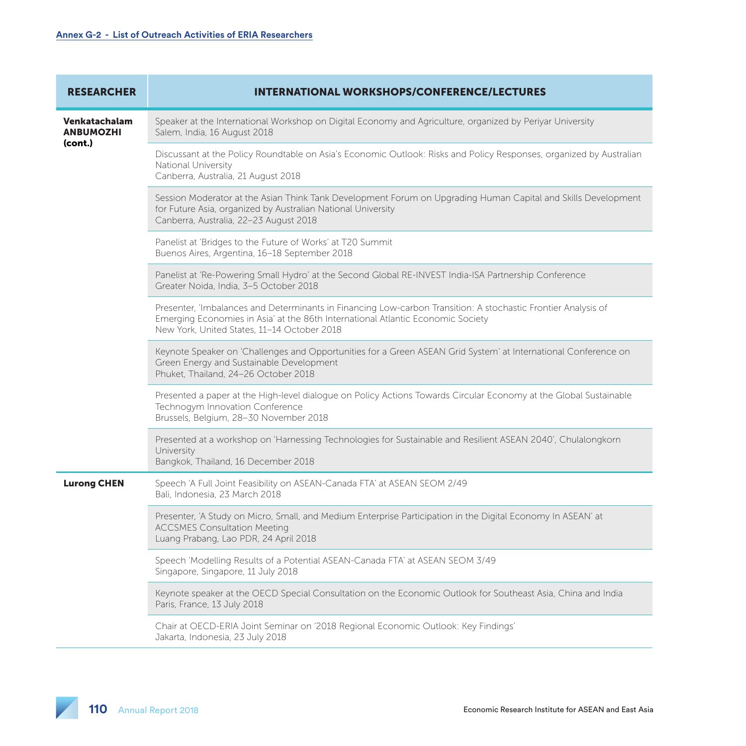| <b>RESEARCHER</b>                            | <b>INTERNATIONAL WORKSHOPS/CONFERENCE/LECTURES</b>                                                                                                                                                                                              |
|----------------------------------------------|-------------------------------------------------------------------------------------------------------------------------------------------------------------------------------------------------------------------------------------------------|
| Venkatachalam<br><b>ANBUMOZHI</b><br>(cont.) | Speaker at the International Workshop on Digital Economy and Agriculture, organized by Periyar University<br>Salem, India, 16 August 2018                                                                                                       |
|                                              | Discussant at the Policy Roundtable on Asia's Economic Outlook: Risks and Policy Responses, organized by Australian<br>National University<br>Canberra, Australia, 21 August 2018                                                               |
|                                              | Session Moderator at the Asian Think Tank Development Forum on Upgrading Human Capital and Skills Development<br>for Future Asia, organized by Australian National University<br>Canberra, Australia, 22-23 August 2018                         |
|                                              | Panelist at 'Bridges to the Future of Works' at T20 Summit<br>Buenos Aires, Argentina, 16-18 September 2018                                                                                                                                     |
|                                              | Panelist at 'Re-Powering Small Hydro' at the Second Global RE-INVEST India-ISA Partnership Conference<br>Greater Noida, India, 3-5 October 2018                                                                                                 |
|                                              | Presenter, 'Imbalances and Determinants in Financing Low-carbon Transition: A stochastic Frontier Analysis of<br>Emerging Economies in Asia' at the 86th International Atlantic Economic Society<br>New York, United States, 11-14 October 2018 |
|                                              | Keynote Speaker on 'Challenges and Opportunities for a Green ASEAN Grid System' at International Conference on<br>Green Energy and Sustainable Development<br>Phuket, Thailand, 24-26 October 2018                                              |
|                                              | Presented a paper at the High-level dialogue on Policy Actions Towards Circular Economy at the Global Sustainable<br>Technogym Innovation Conference<br>Brussels, Belgium, 28-30 November 2018                                                  |
|                                              | Presented at a workshop on 'Harnessing Technologies for Sustainable and Resilient ASEAN 2040', Chulalongkorn<br>University<br>Bangkok, Thailand, 16 December 2018                                                                               |
| <b>Lurong CHEN</b>                           | Speech 'A Full Joint Feasibility on ASEAN-Canada FTA' at ASEAN SEOM 2/49<br>Bali, Indonesia, 23 March 2018                                                                                                                                      |
|                                              | Presenter, 'A Study on Micro, Small, and Medium Enterprise Participation in the Digital Economy In ASEAN' at<br><b>ACCSMES Consultation Meeting</b><br>Luang Prabang, Lao PDR, 24 April 2018                                                    |
|                                              | Speech 'Modelling Results of a Potential ASEAN-Canada FTA' at ASEAN SEOM 3/49<br>Singapore, Singapore, 11 July 2018                                                                                                                             |
|                                              | Keynote speaker at the OECD Special Consultation on the Economic Outlook for Southeast Asia, China and India<br>Paris, France, 13 July 2018                                                                                                     |
|                                              | Chair at OECD-ERIA Joint Seminar on '2018 Regional Economic Outlook: Key Findings'<br>Jakarta, Indonesia, 23 July 2018                                                                                                                          |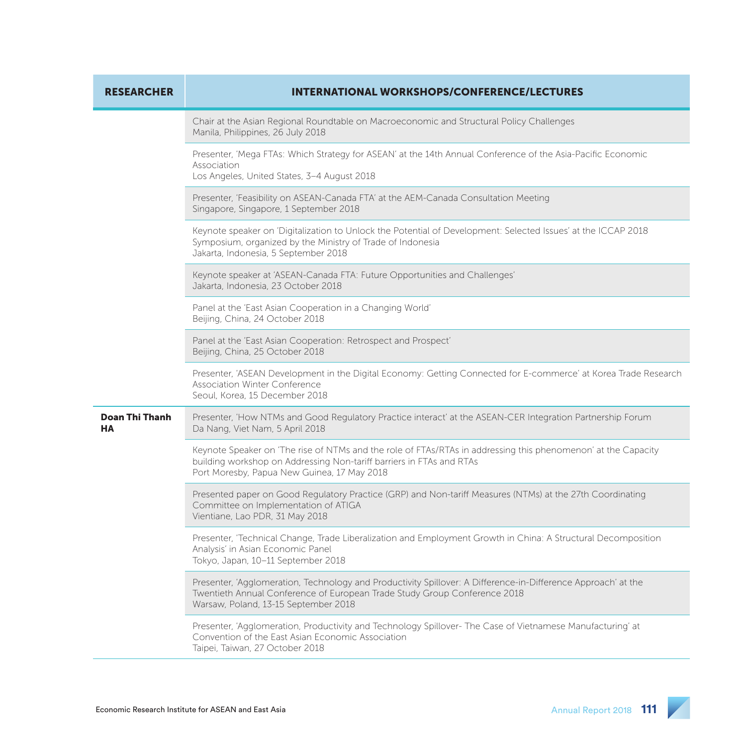| <b>RESEARCHER</b>           | <b>INTERNATIONAL WORKSHOPS/CONFERENCE/LECTURES</b>                                                                                                                                                                                   |
|-----------------------------|--------------------------------------------------------------------------------------------------------------------------------------------------------------------------------------------------------------------------------------|
|                             | Chair at the Asian Regional Roundtable on Macroeconomic and Structural Policy Challenges<br>Manila, Philippines, 26 July 2018                                                                                                        |
|                             | Presenter, 'Mega FTAs: Which Strategy for ASEAN' at the 14th Annual Conference of the Asia-Pacific Economic<br>Association<br>Los Angeles, United States, 3-4 August 2018                                                            |
|                             | Presenter, 'Feasibility on ASEAN-Canada FTA' at the AEM-Canada Consultation Meeting<br>Singapore, Singapore, 1 September 2018                                                                                                        |
|                             | Keynote speaker on 'Digitalization to Unlock the Potential of Development: Selected Issues' at the ICCAP 2018<br>Symposium, organized by the Ministry of Trade of Indonesia<br>Jakarta, Indonesia, 5 September 2018                  |
|                             | Keynote speaker at 'ASEAN-Canada FTA: Future Opportunities and Challenges'<br>Jakarta, Indonesia, 23 October 2018                                                                                                                    |
|                             | Panel at the 'East Asian Cooperation in a Changing World'<br>Beijing, China, 24 October 2018                                                                                                                                         |
|                             | Panel at the 'East Asian Cooperation: Retrospect and Prospect'<br>Beijing, China, 25 October 2018                                                                                                                                    |
|                             | Presenter, 'ASEAN Development in the Digital Economy: Getting Connected for E-commerce' at Korea Trade Research<br><b>Association Winter Conference</b><br>Seoul, Korea, 15 December 2018                                            |
| <b>Doan Thi Thanh</b><br>HA | Presenter, 'How NTMs and Good Regulatory Practice interact' at the ASEAN-CER Integration Partnership Forum<br>Da Nang, Viet Nam, 5 April 2018                                                                                        |
|                             | Keynote Speaker on 'The rise of NTMs and the role of FTAs/RTAs in addressing this phenomenon' at the Capacity<br>building workshop on Addressing Non-tariff barriers in FTAs and RTAs<br>Port Moresby, Papua New Guinea, 17 May 2018 |
|                             | Presented paper on Good Regulatory Practice (GRP) and Non-tariff Measures (NTMs) at the 27th Coordinating<br>Committee on Implementation of ATIGA<br>Vientiane, Lao PDR, 31 May 2018                                                 |
|                             | Presenter, 'Technical Change, Trade Liberalization and Employment Growth in China: A Structural Decomposition<br>Analysis' in Asian Economic Panel<br>Tokyo, Japan, 10-11 September 2018                                             |
|                             | Presenter, 'Agglomeration, Technology and Productivity Spillover: A Difference-in-Difference Approach' at the<br>Twentieth Annual Conference of European Trade Study Group Conference 2018<br>Warsaw, Poland, 13-15 September 2018   |
|                             | Presenter, 'Agglomeration, Productivity and Technology Spillover- The Case of Vietnamese Manufacturing' at<br>Convention of the East Asian Economic Association<br>Taipei, Taiwan, 27 October 2018                                   |

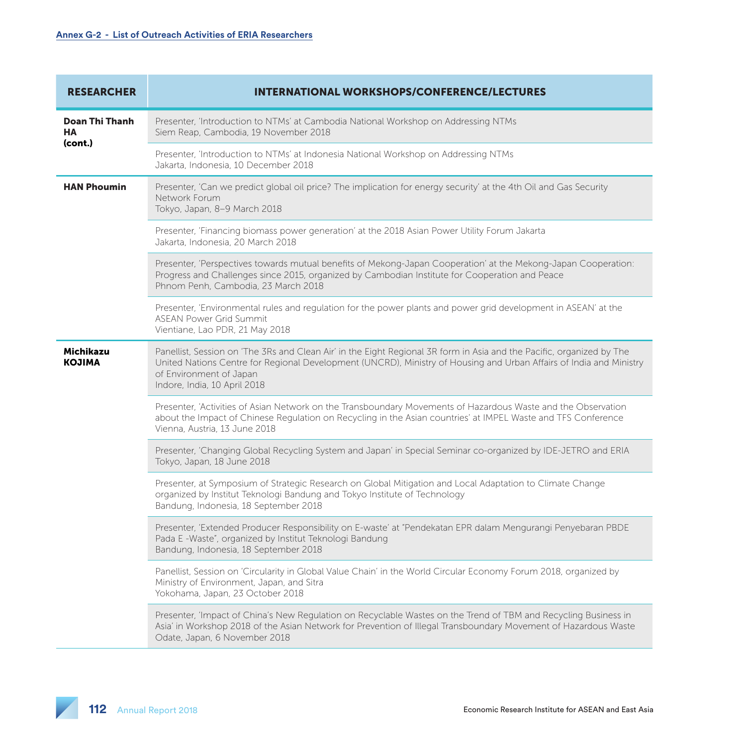| <b>RESEARCHER</b>               | <b>INTERNATIONAL WORKSHOPS/CONFERENCE/LECTURES</b>                                                                                                                                                                                                                                                      |
|---------------------------------|---------------------------------------------------------------------------------------------------------------------------------------------------------------------------------------------------------------------------------------------------------------------------------------------------------|
| Doan Thi Thanh<br>HA<br>(cont.) | Presenter, 'Introduction to NTMs' at Cambodia National Workshop on Addressing NTMs<br>Siem Reap, Cambodia, 19 November 2018                                                                                                                                                                             |
|                                 | Presenter, 'Introduction to NTMs' at Indonesia National Workshop on Addressing NTMs<br>Jakarta, Indonesia, 10 December 2018                                                                                                                                                                             |
| <b>HAN Phoumin</b>              | Presenter, 'Can we predict global oil price? The implication for energy security' at the 4th Oil and Gas Security<br>Network Forum<br>Tokyo, Japan, 8-9 March 2018                                                                                                                                      |
|                                 | Presenter, 'Financing biomass power generation' at the 2018 Asian Power Utility Forum Jakarta<br>Jakarta, Indonesia, 20 March 2018                                                                                                                                                                      |
|                                 | Presenter, 'Perspectives towards mutual benefits of Mekong-Japan Cooperation' at the Mekong-Japan Cooperation:<br>Progress and Challenges since 2015, organized by Cambodian Institute for Cooperation and Peace<br>Phnom Penh, Cambodia, 23 March 2018                                                 |
|                                 | Presenter, 'Environmental rules and regulation for the power plants and power grid development in ASEAN' at the<br><b>ASEAN Power Grid Summit</b><br>Vientiane, Lao PDR, 21 May 2018                                                                                                                    |
| Michikazu<br><b>KOJIMA</b>      | Panellist, Session on 'The 3Rs and Clean Air' in the Eight Regional 3R form in Asia and the Pacific, organized by The<br>United Nations Centre for Regional Development (UNCRD), Ministry of Housing and Urban Affairs of India and Ministry<br>of Environment of Japan<br>Indore, India, 10 April 2018 |
|                                 | Presenter, 'Activities of Asian Network on the Transboundary Movements of Hazardous Waste and the Observation<br>about the Impact of Chinese Regulation on Recycling in the Asian countries' at IMPEL Waste and TFS Conference<br>Vienna, Austria, 13 June 2018                                         |
|                                 | Presenter, 'Changing Global Recycling System and Japan' in Special Seminar co-organized by IDE-JETRO and ERIA<br>Tokyo, Japan, 18 June 2018                                                                                                                                                             |
|                                 | Presenter, at Symposium of Strategic Research on Global Mitigation and Local Adaptation to Climate Change<br>organized by Institut Teknologi Bandung and Tokyo Institute of Technology<br>Bandung, Indonesia, 18 September 2018                                                                         |
|                                 | Presenter, 'Extended Producer Responsibility on E-waste' at "Pendekatan EPR dalam Mengurangi Penyebaran PBDE<br>Pada E -Waste", organized by Institut Teknologi Bandung<br>Bandung, Indonesia, 18 September 2018                                                                                        |
|                                 | Panellist, Session on 'Circularity in Global Value Chain' in the World Circular Economy Forum 2018, organized by<br>Ministry of Environment, Japan, and Sitra<br>Yokohama, Japan, 23 October 2018                                                                                                       |
|                                 | Presenter, 'Impact of China's New Regulation on Recyclable Wastes on the Trend of TBM and Recycling Business in<br>Asia' in Workshop 2018 of the Asian Network for Prevention of Illegal Transboundary Movement of Hazardous Waste<br>Odate, Japan, 6 November 2018                                     |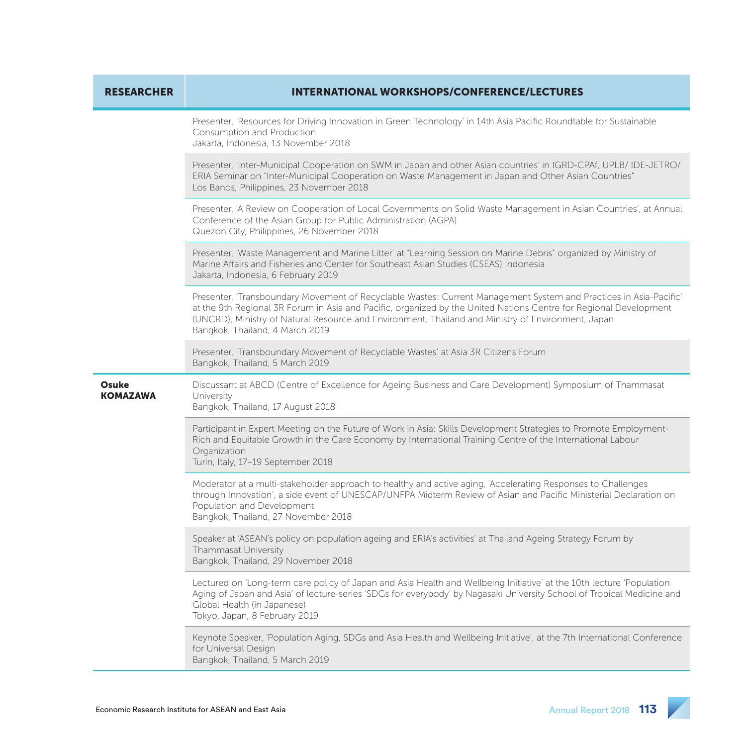| <b>RESEARCHER</b>        | <b>INTERNATIONAL WORKSHOPS/CONFERENCE/LECTURES</b>                                                                                                                                                                                                                                                                                                                              |
|--------------------------|---------------------------------------------------------------------------------------------------------------------------------------------------------------------------------------------------------------------------------------------------------------------------------------------------------------------------------------------------------------------------------|
|                          | Presenter, 'Resources for Driving Innovation in Green Technology' in 14th Asia Pacific Roundtable for Sustainable<br>Consumption and Production<br>Jakarta, Indonesia, 13 November 2018                                                                                                                                                                                         |
|                          | Presenter, 'Inter-Municipal Cooperation on SWM in Japan and other Asian countries' in IGRD-CPAf, UPLB/ IDE-JETRO/<br>ERIA Seminar on "Inter-Municipal Cooperation on Waste Management in Japan and Other Asian Countries"<br>Los Banos, Philippines, 23 November 2018                                                                                                           |
|                          | Presenter, 'A Review on Cooperation of Local Governments on Solid Waste Management in Asian Countries', at Annual<br>Conference of the Asian Group for Public Administration (AGPA)<br>Quezon City, Philippines, 26 November 2018                                                                                                                                               |
|                          | Presenter, 'Waste Management and Marine Litter' at "Learning Session on Marine Debris" organized by Ministry of<br>Marine Affairs and Fisheries and Center for Southeast Asian Studies (CSEAS) Indonesia<br>Jakarta, Indonesia, 6 February 2019                                                                                                                                 |
|                          | Presenter, 'Transboundary Movement of Recyclable Wastes: Current Management System and Practices in Asia-Pacific'<br>at the 9th Regional 3R Forum in Asia and Pacific, organized by the United Nations Centre for Regional Development<br>(UNCRD), Ministry of Natural Resource and Environment, Thailand and Ministry of Environment, Japan<br>Bangkok, Thailand, 4 March 2019 |
|                          | Presenter, 'Transboundary Movement of Recyclable Wastes' at Asia 3R Citizens Forum<br>Bangkok, Thailand, 5 March 2019                                                                                                                                                                                                                                                           |
| Osuke<br><b>KOMAZAWA</b> | Discussant at ABCD (Centre of Excellence for Ageing Business and Care Development) Symposium of Thammasat<br>University<br>Bangkok, Thailand, 17 August 2018                                                                                                                                                                                                                    |
|                          | Participant in Expert Meeting on the Future of Work in Asia: Skills Development Strategies to Promote Employment-<br>Rich and Equitable Growth in the Care Economy by International Training Centre of the International Labour<br>Organization<br>Turin, Italy, 17-19 September 2018                                                                                           |
|                          | Moderator at a multi-stakeholder approach to healthy and active aging, 'Accelerating Responses to Challenges<br>through Innovation', a side event of UNESCAP/UNFPA Midterm Review of Asian and Pacific Ministerial Declaration on<br>Population and Development<br>Bangkok, Thailand, 27 November 2018                                                                          |
|                          | Speaker at 'ASEAN's policy on population ageing and ERIA's activities' at Thailand Ageing Strategy Forum by<br>Thammasat University<br>Bangkok, Thailand, 29 November 2018                                                                                                                                                                                                      |
|                          | Lectured on 'Long-term care policy of Japan and Asia Health and Wellbeing Initiative' at the 10th lecture 'Population<br>Aging of Japan and Asia' of lecture-series 'SDGs for everybody' by Nagasaki University School of Tropical Medicine and<br>Global Health (in Japanese)<br>Tokyo, Japan, 8 February 2019                                                                 |
|                          | Keynote Speaker, 'Population Aging, SDGs and Asia Health and Wellbeing Initiative', at the 7th International Conference<br>for Universal Design<br>Bangkok, Thailand, 5 March 2019                                                                                                                                                                                              |

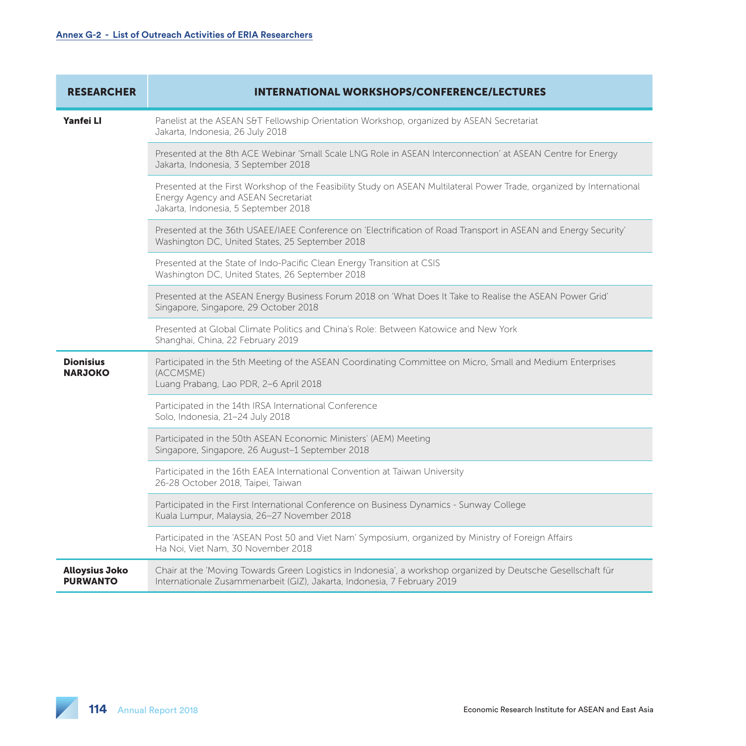| <b>RESEARCHER</b>                        | <b>INTERNATIONAL WORKSHOPS/CONFERENCE/LECTURES</b>                                                                                                                                                    |
|------------------------------------------|-------------------------------------------------------------------------------------------------------------------------------------------------------------------------------------------------------|
| Yanfei LI                                | Panelist at the ASEAN S&T Fellowship Orientation Workshop, organized by ASEAN Secretariat<br>Jakarta, Indonesia, 26 July 2018                                                                         |
|                                          | Presented at the 8th ACE Webinar 'Small Scale LNG Role in ASEAN Interconnection' at ASEAN Centre for Energy<br>Jakarta, Indonesia, 3 September 2018                                                   |
|                                          | Presented at the First Workshop of the Feasibility Study on ASEAN Multilateral Power Trade, organized by International<br>Energy Agency and ASEAN Secretariat<br>Jakarta, Indonesia, 5 September 2018 |
|                                          | Presented at the 36th USAEE/IAEE Conference on 'Electrification of Road Transport in ASEAN and Energy Security'<br>Washington DC, United States, 25 September 2018                                    |
|                                          | Presented at the State of Indo-Pacific Clean Energy Transition at CSIS<br>Washington DC, United States, 26 September 2018                                                                             |
|                                          | Presented at the ASEAN Energy Business Forum 2018 on 'What Does It Take to Realise the ASEAN Power Grid'<br>Singapore, Singapore, 29 October 2018                                                     |
|                                          | Presented at Global Climate Politics and China's Role: Between Katowice and New York<br>Shanghai, China, 22 February 2019                                                                             |
| <b>Dionisius</b><br><b>NARJOKO</b>       | Participated in the 5th Meeting of the ASEAN Coordinating Committee on Micro, Small and Medium Enterprises<br>(ACCMSME)<br>Luang Prabang, Lao PDR, 2-6 April 2018                                     |
|                                          | Participated in the 14th IRSA International Conference<br>Solo, Indonesia, 21-24 July 2018                                                                                                            |
|                                          | Participated in the 50th ASEAN Economic Ministers' (AEM) Meeting<br>Singapore, Singapore, 26 August-1 September 2018                                                                                  |
|                                          | Participated in the 16th EAEA International Convention at Taiwan University<br>26-28 October 2018, Taipei, Taiwan                                                                                     |
|                                          | Participated in the First International Conference on Business Dynamics - Sunway College<br>Kuala Lumpur, Malaysia, 26-27 November 2018                                                               |
|                                          | Participated in the 'ASEAN Post 50 and Viet Nam' Symposium, organized by Ministry of Foreign Affairs<br>Ha Noi, Viet Nam, 30 November 2018                                                            |
| <b>Alloysius Joko</b><br><b>PURWANTO</b> | Chair at the 'Moving Towards Green Logistics in Indonesia', a workshop organized by Deutsche Gesellschaft für<br>Internationale Zusammenarbeit (GIZ), Jakarta, Indonesia, 7 February 2019             |

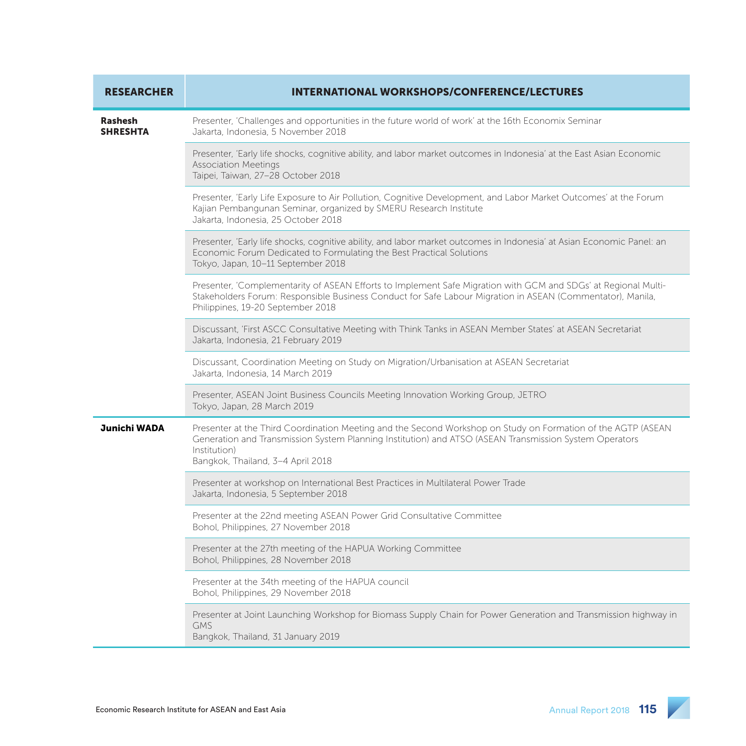| <b>RESEARCHER</b>                 | <b>INTERNATIONAL WORKSHOPS/CONFERENCE/LECTURES</b>                                                                                                                                                                                                                          |
|-----------------------------------|-----------------------------------------------------------------------------------------------------------------------------------------------------------------------------------------------------------------------------------------------------------------------------|
| <b>Rashesh</b><br><b>SHRESHTA</b> | Presenter, 'Challenges and opportunities in the future world of work' at the 16th Economix Seminar<br>Jakarta, Indonesia, 5 November 2018                                                                                                                                   |
|                                   | Presenter, 'Early life shocks, cognitive ability, and labor market outcomes in Indonesia' at the East Asian Economic<br><b>Association Meetings</b><br>Taipei, Taiwan, 27-28 October 2018                                                                                   |
|                                   | Presenter, 'Early Life Exposure to Air Pollution, Cognitive Development, and Labor Market Outcomes' at the Forum<br>Kajian Pembangunan Seminar, organized by SMERU Research Institute<br>Jakarta, Indonesia, 25 October 2018                                                |
|                                   | Presenter, 'Early life shocks, cognitive ability, and labor market outcomes in Indonesia' at Asian Economic Panel: an<br>Economic Forum Dedicated to Formulating the Best Practical Solutions<br>Tokyo, Japan, 10-11 September 2018                                         |
|                                   | Presenter, 'Complementarity of ASEAN Efforts to Implement Safe Migration with GCM and SDGs' at Regional Multi-<br>Stakeholders Forum: Responsible Business Conduct for Safe Labour Migration in ASEAN (Commentator), Manila,<br>Philippines, 19-20 September 2018           |
|                                   | Discussant, 'First ASCC Consultative Meeting with Think Tanks in ASEAN Member States' at ASEAN Secretariat<br>Jakarta, Indonesia, 21 February 2019                                                                                                                          |
|                                   | Discussant, Coordination Meeting on Study on Migration/Urbanisation at ASEAN Secretariat<br>Jakarta, Indonesia, 14 March 2019                                                                                                                                               |
|                                   | Presenter, ASEAN Joint Business Councils Meeting Innovation Working Group, JETRO<br>Tokyo, Japan, 28 March 2019                                                                                                                                                             |
| Junichi WADA                      | Presenter at the Third Coordination Meeting and the Second Workshop on Study on Formation of the AGTP (ASEAN<br>Generation and Transmission System Planning Institution) and ATSO (ASEAN Transmission System Operators<br>Institution)<br>Bangkok, Thailand, 3-4 April 2018 |
|                                   | Presenter at workshop on International Best Practices in Multilateral Power Trade<br>Jakarta, Indonesia, 5 September 2018                                                                                                                                                   |
|                                   | Presenter at the 22nd meeting ASEAN Power Grid Consultative Committee<br>Bohol, Philippines, 27 November 2018                                                                                                                                                               |
|                                   | Presenter at the 27th meeting of the HAPUA Working Committee<br>Bohol, Philippines, 28 November 2018                                                                                                                                                                        |
|                                   | Presenter at the 34th meeting of the HAPUA council<br>Bohol, Philippines, 29 November 2018                                                                                                                                                                                  |
|                                   | Presenter at Joint Launching Workshop for Biomass Supply Chain for Power Generation and Transmission highway in<br><b>GMS</b><br>Bangkok, Thailand, 31 January 2019                                                                                                         |